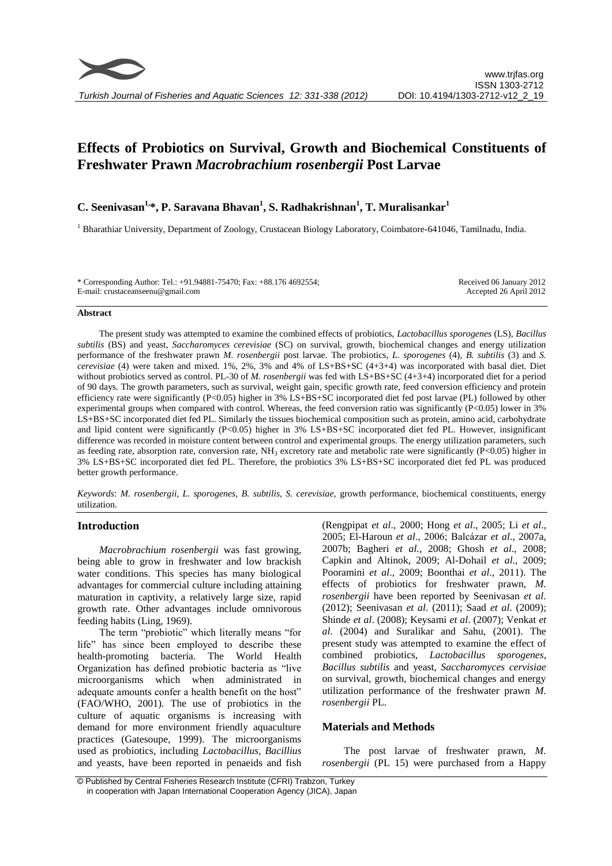# **Effects of Probiotics on Survival, Growth and Biochemical Constituents of Freshwater Prawn** *Macrobrachium rosenbergii* **Post Larvae**

# **C. Seenivasan1,\*, P. Saravana Bhavan<sup>1</sup> , S. Radhakrishnan<sup>1</sup> , T. Muralisankar<sup>1</sup>**

<sup>1</sup> Bharathiar University, Department of Zoology, Crustacean Biology Laboratory, Coimbatore-641046, Tamilnadu, India.

\* Corresponding Author: Tel.: +91.94881-75470; Fax: +88.176 4692554; E-mail: crustaceanseenu@gmail.com

Received 06 January 2012 Accepted 26 April 2012

### **Abstract**

The present study was attempted to examine the combined effects of probiotics, *Lactobacillus sporogenes* (LS)*, Bacillus subtilis* (BS) and yeast, *Saccharomyces cerevisiae* (SC) on survival, growth, biochemical changes and energy utilization performance of the freshwater prawn *M. rosenbergii* post larvae. The probiotics, *L. sporogenes* (4), *B. subtilis* (3) and *S. cerevisiae* (4) were taken and mixed. 1%, 2%, 3% and 4% of LS+BS+SC (4+3+4) was incorporated with basal diet. Diet without probiotics served as control. PL-30 of *M. rosenbergii* was fed with LS+BS+SC (4+3+4) incorporated diet for a period of 90 days. The growth parameters, such as survival, weight gain, specific growth rate, feed conversion efficiency and protein efficiency rate were significantly (P<0.05) higher in 3% LS+BS+SC incorporated diet fed post larvae (PL) followed by other experimental groups when compared with control. Whereas, the feed conversion ratio was significantly (P<0.05) lower in 3% LS+BS+SC incorporated diet fed PL. Similarly the tissues biochemical composition such as protein, amino acid, carbohydrate and lipid content were significantly (P<0.05) higher in 3% LS+BS+SC incorporated diet fed PL. However, insignificant difference was recorded in moisture content between control and experimental groups. The energy utilization parameters, such as feeding rate, absorption rate, conversion rate,  $NH_3$  excretory rate and metabolic rate were significantly (P<0.05) higher in 3% LS+BS+SC incorporated diet fed PL. Therefore, the probiotics 3% LS+BS+SC incorporated diet fed PL was produced better growth performance.

*Keywords*: *M. rosenbergii, L. sporogenes, B. subtilis, S. cerevisiae,* growth performance, biochemical constituents, energy utilization.

# **Introduction**

*Macrobrachium rosenbergii* was fast growing, being able to grow in freshwater and low brackish water conditions. This species has many biological advantages for commercial culture including attaining maturation in captivity, a relatively large size, rapid growth rate. Other advantages include omnivorous feeding habits (Ling, 1969).

The term "probiotic" which literally means "for life" has since been employed to describe these health-promoting bacteria. The World Health Organization has defined probiotic bacteria as "live microorganisms which when administrated in adequate amounts confer a health benefit on the host" (FAO/WHO, 2001). The use of probiotics in the culture of aquatic organisms is increasing with demand for more environment friendly aquaculture practices (Gatesoupe, 1999). The microorganisms used as probiotics, including *Lactobacillus, Bacillius* and yeasts, have been reported in penaeids and fish

(Rengpipat *et al*., 2000; Hong *et al*., 2005; Li *et al*., 2005; El-Haroun *et al*., 2006; Balcázar *et al*., 2007a, 2007b; Bagheri *et al.*, 2008; Ghosh *et al*., 2008; Capkin and Altinok, 2009; Al-Dohail *et al*., 2009; Pooramini *et al*., 2009; Boonthai *et al*., 2011). The effects of probiotics for freshwater prawn, *M. rosenbergii* have been reported by Seenivasan *et al*. (2012); Seenivasan *et al*. (2011); Saad *et al*. (2009); Shinde *et al*. (2008); Keysami *et al*. (2007); Venkat *et al*. (2004) and Suralikar and Sahu, (2001). The present study was attempted to examine the effect of combined probiotics, *Lactobacillus sporogenes*, *Bacillus subtilis* and yeast, *Saccharomyces cervisiae* on survival, growth, biochemical changes and energy utilization performance of the freshwater prawn *M. rosenbergii* PL.

# **Materials and Methods**

The post larvae of freshwater prawn, *M. rosenbergii* (PL 15) were purchased from a Happy

<sup>©</sup> Published by Central Fisheries Research Institute (CFRI) Trabzon, Turkey in cooperation with Japan International Cooperation Agency (JICA), Japan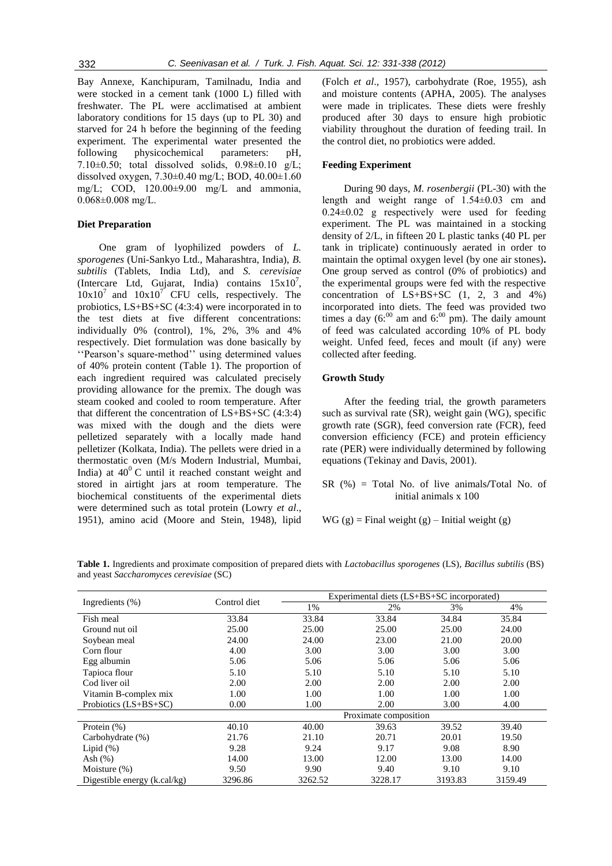Bay Annexe, Kanchipuram, Tamilnadu, India and were stocked in a cement tank (1000 L) filled with freshwater. The PL were acclimatised at ambient laboratory conditions for 15 days (up to PL 30) and starved for 24 h before the beginning of the feeding experiment. The experimental water presented the following physicochemical parameters: pH, 7.10 $\pm$ 0.50; total dissolved solids, 0.98 $\pm$ 0.10 g/L; dissolved oxygen,  $7.30\pm0.40$  mg/L; BOD,  $40.00\pm1.60$ mg/L; COD, 120.00±9.00 mg/L and ammonia, 0.068±0.008 mg/L.

# **Diet Preparation**

One gram of lyophilized powders of *L. sporogenes* (Uni-Sankyo Ltd., Maharashtra, India), *B. subtilis* (Tablets, India Ltd), and *S. cerevisiae* (Intercare Ltd, Gujarat, India) contains  $15x10^7$ ,  $10x10<sup>7</sup>$  and  $10x10<sup>7</sup>$  CFU cells, respectively. The probiotics, LS+BS+SC (4:3:4) were incorporated in to the test diets at five different concentrations: individually 0% (control), 1%, 2%, 3% and 4% respectively. Diet formulation was done basically by ''Pearson's square-method'' using determined values of 40% protein content (Table 1). The proportion of each ingredient required was calculated precisely providing allowance for the premix. The dough was steam cooked and cooled to room temperature. After that different the concentration of LS+BS+SC (4:3:4) was mixed with the dough and the diets were pelletized separately with a locally made hand pelletizer (Kolkata, India). The pellets were dried in a thermostatic oven (M/s Modern Industrial, Mumbai, India) at  $40^{\circ}$ C until it reached constant weight and stored in airtight jars at room temperature. The biochemical constituents of the experimental diets were determined such as total protein (Lowry *et al*., 1951), amino acid (Moore and Stein, 1948), lipid

(Folch *et al*., 1957), carbohydrate (Roe, 1955), ash and moisture contents (APHA, 2005). The analyses were made in triplicates. These diets were freshly produced after 30 days to ensure high probiotic viability throughout the duration of feeding trail. In the control diet, no probiotics were added.

# **Feeding Experiment**

During 90 days, *M. rosenbergii* (PL-30) with the length and weight range of 1.54±0.03 cm and  $0.24\pm0.02$  g respectively were used for feeding experiment. The PL was maintained in a stocking density of 2/L, in fifteen 20 L plastic tanks (40 PL per tank in triplicate) continuously aerated in order to maintain the optimal oxygen level (by one air stones)**.**  One group served as control (0% of probiotics) and the experimental groups were fed with the respective concentration of LS+BS+SC (1, 2, 3 and 4%) incorporated into diets. The feed was provided two times a day  $(6:00)$  am and  $6:00$  pm). The daily amount of feed was calculated according 10% of PL body weight. Unfed feed, feces and moult (if any) were collected after feeding.

# **Growth Study**

After the feeding trial, the growth parameters such as survival rate (SR), weight gain (WG), specific growth rate (SGR), feed conversion rate (FCR), feed conversion efficiency (FCE) and protein efficiency rate (PER) were individually determined by following equations (Tekinay and Davis, 2001).

SR (%) = Total No. of live animals**/**Total No. of initial animals x 100

 $WG(g) = Final weight(g) - Initial weight(g)$ 

|                              | Control diet | Experimental diets (LS+BS+SC incorporated) |                       |         |         |
|------------------------------|--------------|--------------------------------------------|-----------------------|---------|---------|
| Ingredients $(\% )$          |              | 1%                                         | 2%                    | 3%      | 4%      |
| Fish meal                    | 33.84        | 33.84                                      | 33.84                 | 34.84   | 35.84   |
| Ground nut oil               | 25.00        | 25.00                                      | 25.00                 | 25.00   | 24.00   |
| Soybean meal                 | 24.00        | 24.00                                      | 23.00                 | 21.00   | 20.00   |
| Corn flour                   | 4.00         | 3.00                                       | 3.00                  | 3.00    | 3.00    |
| Egg albumin                  | 5.06         | 5.06                                       | 5.06                  | 5.06    | 5.06    |
| Tapioca flour                | 5.10         | 5.10                                       | 5.10                  | 5.10    | 5.10    |
| Cod liver oil                | 2.00         | 2.00                                       | 2.00                  | 2.00    | 2.00    |
| Vitamin B-complex mix        | 1.00         | 1.00                                       | 1.00                  | 1.00    | 1.00    |
| Probiotics $(LS+BS+SC)$      | 0.00         | 1.00                                       | 2.00                  | 3.00    | 4.00    |
|                              |              |                                            | Proximate composition |         |         |
| Protein $(\%)$               | 40.10        | 40.00                                      | 39.63                 | 39.52   | 39.40   |
| Carbohydrate (%)             | 21.76        | 21.10                                      | 20.71                 | 20.01   | 19.50   |
| Lipid $(\%)$                 | 9.28         | 9.24                                       | 9.17                  | 9.08    | 8.90    |
| Ash $(\%)$                   | 14.00        | 13.00                                      | 12.00                 | 13.00   | 14.00   |
| Moisture $(\%)$              | 9.50         | 9.90                                       | 9.40                  | 9.10    | 9.10    |
| Digestible energy (k.cal/kg) | 3296.86      | 3262.52                                    | 3228.17               | 3193.83 | 3159.49 |

**Table 1.** Ingredients and proximate composition of prepared diets with *Lactobacillus sporogenes* (LS)*, Bacillus subtilis* (BS) and yeast *Saccharomyces cerevisiae* (SC)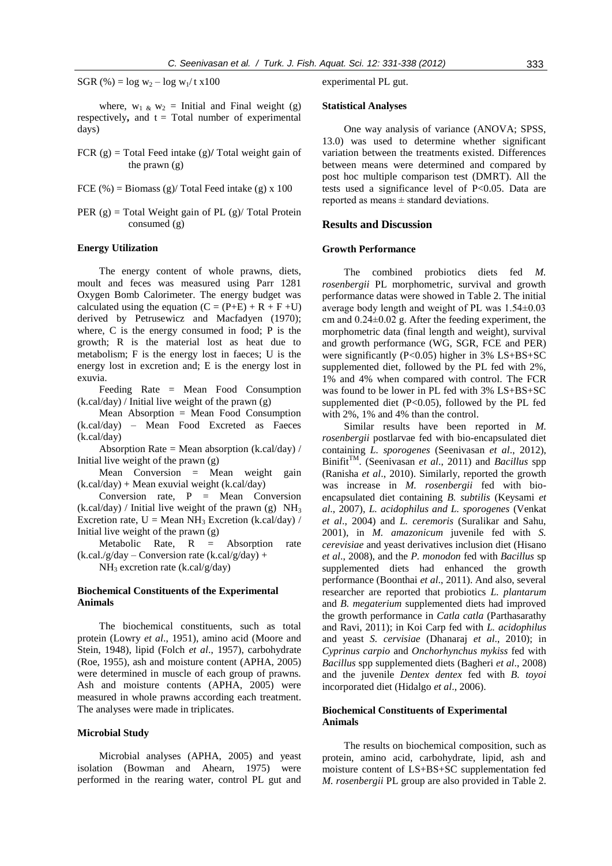SGR  $(\%)=\log w_2 - \log w_1/t$  x100

where,  $w_1 \& w_2$  = Initial and Final weight (g) respectively, and  $t = Total number of experimental$ days)

- FCR  $(g)$  = Total Feed intake  $(g)$ / Total weight gain of the prawn (g)
- FCE  $%$  = Biomass (g)/ Total Feed intake (g) x 100
- PER  $(g)$  = Total Weight gain of PL  $(g)$  Total Protein consumed (g)

## **Energy Utilization**

The energy content of whole prawns, diets, moult and feces was measured using Parr 1281 Oxygen Bomb Calorimeter. The energy budget was calculated using the equation  $(C = (P+E) + R + F + U)$ derived by Petrusewicz and Macfadyen (1970); where, C is the energy consumed in food; P is the growth; R is the material lost as heat due to metabolism; F is the energy lost in faeces; U is the energy lost in excretion and; E is the energy lost in exuvia.

Feeding Rate = Mean Food Consumption  $(k.cal/day) / Initial live weight of the prawn (g)$ 

Mean Absorption = Mean Food Consumption (k.cal/day) – Mean Food Excreted as Faeces (k.cal/day)

Absorption Rate = Mean absorption (k.cal/day) / Initial live weight of the prawn (g)

Mean Conversion = Mean weight gain  $(k.cal/day) + Mean$  exuvial weight  $(k.cal/day)$ 

Conversion rate,  $P = Mean$  Conversion  $(k.cal/day) / Initial$  live weight of the prawn (g) NH<sub>3</sub> Excretion rate,  $U = Mean NH_3$  Excretion (k.cal/day) / Initial live weight of the prawn (g)

Metabolic Rate, R = Absorption rate  $(k.ca.l/g/day - Conversion rate (k.ca/g/day) +$ 

 $NH<sub>3</sub>$  excretion rate (k.cal/g/day)

# **Biochemical Constituents of the Experimental Animals**

The biochemical constituents, such as total protein (Lowry *et al*., 1951), amino acid (Moore and Stein, 1948), lipid (Folch *et al*., 1957), carbohydrate (Roe, 1955), ash and moisture content (APHA, 2005) were determined in muscle of each group of prawns. Ash and moisture contents (APHA, 2005) were measured in whole prawns according each treatment. The analyses were made in triplicates.

#### **Microbial Study**

Microbial analyses (APHA, 2005) and yeast isolation (Bowman and Ahearn, 1975) were performed in the rearing water, control PL gut and experimental PL gut.

## **Statistical Analyses**

One way analysis of variance (ANOVA; SPSS, 13.0) was used to determine whether significant variation between the treatments existed. Differences between means were determined and compared by post hoc multiple comparison test (DMRT). All the tests used a significance level of P<0.05. Data are reported as means ± standard deviations.

#### **Results and Discussion**

#### **Growth Performance**

The combined probiotics diets fed *M. rosenbergii* PL morphometric, survival and growth performance datas were showed in Table 2. The initial average body length and weight of PL was 1.54±0.03 cm and 0.24±0.02 g. After the feeding experiment, the morphometric data (final length and weight), survival and growth performance (WG, SGR, FCE and PER) were significantly  $(P<0.05)$  higher in 3% LS+BS+SC supplemented diet, followed by the PL fed with 2%, 1% and 4% when compared with control. The FCR was found to be lower in PL fed with 3% LS+BS+SC supplemented diet  $(P<0.05)$ , followed by the PL fed with 2%, 1% and 4% than the control.

Similar results have been reported in *M. rosenbergii* postlarvae fed with bio-encapsulated diet containing *L. sporogenes* (Seenivasan *et al*., 2012), Binifit<sup>TM</sup>. (Seenivasan *et al.*, 2011) and *Bacillus* spp (Ranisha *et al*., 2010). Similarly, reported the growth was increase in *M. rosenbergii* fed with bioencapsulated diet containing *B. subtilis* (Keysami *et al*., 2007), *L. acidophilus and L. sporogenes* (Venkat *et al*., 2004) and *L. ceremoris* (Suralikar and Sahu, 2001), in *M. amazonicum* juvenile fed with *S. cerevisiae* and yeast derivatives inclusion diet (Hisano *et al*., 2008), and the *P. monodon* fed with *Bacillus* sp supplemented diets had enhanced the growth performance (Boonthai *et al*., 2011). And also, several researcher are reported that probiotics *L. plantarum*  and *B. megaterium* supplemented diets had improved the growth performance in *Catla catla* (Parthasarathy and Ravi, 2011); in Koi Carp fed with *L. acidophilus* and yeast *S. cervisiae* (Dhanaraj *et al*., 2010); in *Cyprinus carpio* and *Onchorhynchus mykiss* fed with *Bacillus* spp supplemented diets (Bagheri *et al*., 2008) and the juvenile *Dentex dentex* fed with *B. toyoi*  incorporated diet (Hidalgo *et al*., 2006).

# **Biochemical Constituents of Experimental Animals**

The results on biochemical composition, such as protein, amino acid, carbohydrate, lipid, ash and moisture content of LS+BS+SC supplementation fed *M. rosenbergii* PL group are also provided in Table 2.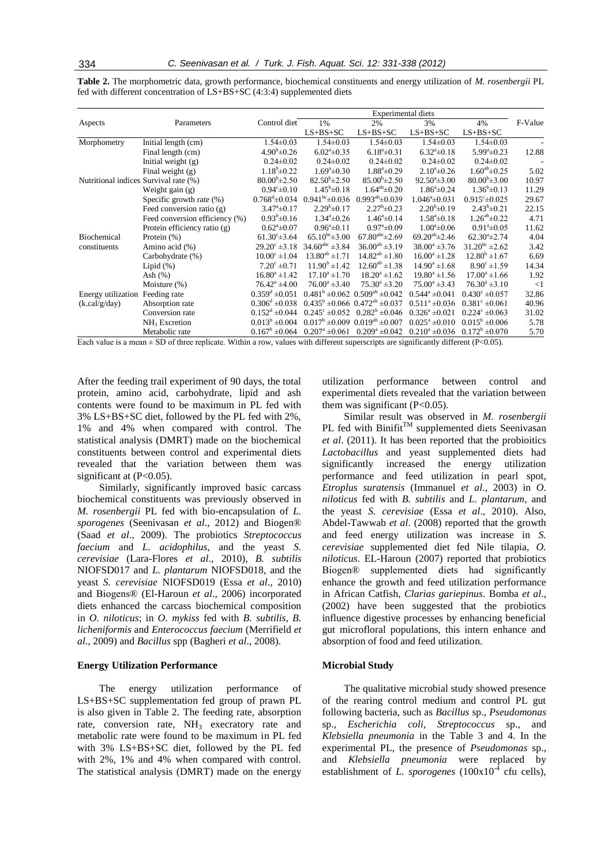|                                       |                                | <b>Experimental diets</b>     |                                   |                                            |                            |                           |         |
|---------------------------------------|--------------------------------|-------------------------------|-----------------------------------|--------------------------------------------|----------------------------|---------------------------|---------|
| Aspects                               | Parameters                     | Control diet                  | 1%                                | 2%                                         | 3%                         | 4%                        | F-Value |
|                                       |                                |                               | $LS+BS+SC$                        | $LS+BS+SC$                                 | $LS+BS+SC$                 | $LS+BS+SC$                |         |
| Morphometry                           | Initial length (cm)            | $1.54 \pm 0.03$               | $1.54 \pm 0.03$                   | $1.54 \pm 0.03$                            | $1.54 \pm 0.03$            | $1.54 \pm 0.03$           |         |
|                                       | Final length (cm)              | $4.90^{\rm b} \pm 0.26$       | $6.02^{\mathrm{a}}\pm0.35$        | $6.18^{\mathrm{a}}\pm0.31$                 | $6.32^{\mathrm{a}}\pm0.18$ | $5.99^{\circ}$ ±0.23      | 12.88   |
|                                       | Initial weight $(g)$           | $0.24 \pm 0.02$               | $0.24 \pm 0.02$                   | $0.24 \pm 0.02$                            | $0.24 \pm 0.02$            | $0.24 \pm 0.02$           |         |
|                                       | Final weight (g)               | $1.18^{\rm b} \pm 0.22$       | $1.69^{\circ}$ $\pm 0.30^{\circ}$ | $1.88^{\circ}$ ±0.29                       | $2.10^a \pm 0.26$          | $1.60^{ab} \pm 0.25$      | 5.02    |
| Nutritional indices Survival rate (%) |                                | $80.00^{b} \pm 2.50$          | $82.50^{\rm b} \pm 2.50$          | $85.00^{b} \pm 2.50$                       | $92.50^{\circ}$ ±3.00      | $80.00^{b} \pm 3.00$      | 10.97   |
|                                       | Weight gain $(g)$              | $0.94^{\circ}$ ± 0.10         | $1.45^{\rm b} \pm 0.18$           | $1.64^{ab} \pm 0.20$                       | $1.86^a \pm 0.24$          | $1.36^b \pm 0.13$         | 11.29   |
|                                       | Specific growth rate $(\%)$    | $0.768^{\mathrm{d}}\pm 0.034$ | $0.941bc \pm 0.036$               | $0.993^{ab} \pm 0.039$                     | $1.046^{\circ}$ ±0.031     | $0.915^{\circ} \pm 0.025$ | 29.67   |
|                                       | Feed conversion ratio $(g)$    | $3.47^{\circ}$ ±0.17          | $2.29^b \pm 0.17$                 | $2.27^b \pm 0.23$                          | $2.20^b \pm 0.19$          | $2.43^b \pm 0.21$         | 22.15   |
|                                       | Feed conversion efficiency (%) | $0.93^b \pm 0.16$             | $1.34^a \pm 0.26$                 | $1.46^a \pm 0.14$                          | $1.58^{\circ}$ ± 0.18      | $1.26^{ab} \pm 0.22$      | 4.71    |
|                                       | Protein efficiency ratio (g)   | $0.62^{\mathrm{a}}\pm0.07$    | $0.96^{\circ}$ ± 0.11             | $0.97^{\mathrm{a}}\pm0.09$                 | $1.00^{\circ}$ ±0.06       | $0.91^{\circ}$ ±0.05      | 11.62   |
| <b>Biochemical</b>                    | Protein $(\%)$                 | $61.30^{\circ}$ ± 3.64        | $65.10^{bc} \pm 3.00$             | $67.80^{\text{abc}}\pm 2.69$               | $69.20^{ab} \pm 2.46$      | $62.30^{\circ}$ ± 2.74    | 4.04    |
| constituents                          | Amino acid (%)                 | $29.20^{\circ} \pm 3.18$      | $34.60^{abc} \pm 3.84$            | $36.00^{ab} \pm 3.19$                      | $38.00^a \pm 3.76$         | $31.20^{bc} \pm 2.62$     | 3.42    |
|                                       | Carbohydrate (%)               | $10.00^{\circ}$ ±1.04         | $13.80^{ab} \pm 1.71$             | $14.82^{ab} \pm 1.80$                      | $16.00^a \pm 1.28$         | $12.80^{\rm b}$ ±1.67     | 6.69    |
|                                       | Lipid $(\%)$                   | $7.20^{\circ} \pm 0.71$       | $11.90^{\rm b}$ ±1.42             | $12.60^{ab} \pm 1.38$                      | $14.90^a \pm 1.68$         | $8.90^{\circ}$ ±1.59      | 14.34   |
|                                       | Ash $(%)$                      | $16.80^a \pm 1.42$            | $17.10^a \pm 1.70$                | $18.20^a \pm 1.62$                         | $19.80^a \pm 1.56$         | $17.00^a \pm 1.66$        | 1.92    |
|                                       | Moisture (%)                   | $76.42^{\mathrm{a}}$ ±4.00    | $76.00^a \pm 3.40$                | $75.30^{\circ}$ ±3.20                      | $75.00^a \pm 3.43$         | $76.30^a \pm 3.10$        | $<$ 1   |
| Energy utilization                    | Feeding rate                   | $0.359^d \pm 0.051$           |                                   | $0.481^b \pm 0.062$ $0.509^{ab} \pm 0.042$ | $0.544^a \pm 0.041$        | $0.430^{\circ} \pm 0.057$ | 32.86   |
| (k.cal/g/day)                         | Absorption rate                | $0.306^d \pm 0.038$           |                                   | $0.435^b \pm 0.066$ $0.472^{ab} \pm 0.037$ | $0.511^a \pm 0.036$        | $0.381^{\circ} \pm 0.061$ | 40.96   |
|                                       | Conversion rate                | $0.152^d \pm 0.044$           | $0.245^{\circ} \pm 0.052$         | $0.282^b \pm 0.046$                        | $0.326^a \pm 0.021$        | $0.224^{\circ} \pm 0.063$ | 31.02   |
|                                       | $NH3$ Excretion                | $0.013^b \pm 0.004$           |                                   | $0.017^b \pm 0.009$ $0.019^{ab} \pm 0.007$ | $0.025^{\circ} \pm 0.010$  | $0.015^b \pm 0.006$       | 5.78    |
|                                       | Metabolic rate                 | $0.167^b \pm 0.064$           | $0.207^{\rm a} \pm 0.061$         | $0.209^a \pm 0.042$                        | $0.210^a \pm 0.036$        | $0.172^b \pm 0.070$       | 5.70    |

**Table 2.** The morphometric data, growth performance, biochemical constituents and energy utilization of *M. rosenbergii* PL fed with different concentration of LS+BS+SC (4:3:4) supplemented diets

Each value is a mean  $\pm$  SD of three replicate. Within a row, values with different superscripts are significantly different (P<0.05).

After the feeding trail experiment of 90 days, the total protein, amino acid, carbohydrate, lipid and ash contents were found to be maximum in PL fed with 3% LS+BS+SC diet, followed by the PL fed with 2%, 1% and 4% when compared with control. The statistical analysis (DMRT) made on the biochemical constituents between control and experimental diets revealed that the variation between them was significant at  $(P<0.05)$ .

Similarly, significantly improved basic carcass biochemical constituents was previously observed in *M. rosenbergii* PL fed with bio-encapsulation of *L. sporogenes* (Seenivasan *et al*., 2012) and Biogen® (Saad *et al*., 2009). The probiotics *Streptococcus faecium* and *L. acidophilus*, and the yeast *S. cerevisiae* (Lara-Flores *et al*., 2010), *B. subtilis*  NIOFSD017 and *L. plantarum* NIOFSD018, and the yeast *S. cerevisiae* NIOFSD019 (Essa *et al*., 2010) and Biogens® (El-Haroun *et al*., 2006) incorporated diets enhanced the carcass biochemical composition in *O. niloticus*; in *O. mykiss* fed with *B. subtilis*, *B. licheniformis* and *Enterococcus faecium* (Merrifield *et al*., 2009) and *Bacillus* spp (Bagheri *et al*., 2008).

#### **Energy Utilization Performance**

The energy utilization performance of LS+BS+SC supplementation fed group of prawn PL is also given in Table 2. The feeding rate, absorption rate, conversion rate,  $NH<sub>3</sub>$  execratory rate and metabolic rate were found to be maximum in PL fed with 3% LS+BS+SC diet, followed by the PL fed with 2%, 1% and 4% when compared with control. The statistical analysis (DMRT) made on the energy utilization performance between control and experimental diets revealed that the variation between them was significant  $(P<0.05)$ .

Similar result was observed in *M. rosenbergii* PL fed with  $\text{Binit}^{\text{TM}}$  supplemented diets Seenivasan *et al*. (2011). It has been reported that the probioitics *Lactobacillus* and yeast supplemented diets had significantly increased the energy utilization performance and feed utilization in pearl spot, *Etroplus suratensis* (Immanuel *et al*., 2003) in *O. niloticus* fed with *B. subtilis* and *L. plantarum*, and the yeast *S. cerevisiae* (Essa *et al*., 2010). Also, Abdel-Tawwab *et al*. (2008) reported that the growth and feed energy utilization was increase in *S. cerevisiae* supplemented diet fed Nile tilapia, *O. niloticus*. EL-Haroun (2007) reported that probiotics Biogen® supplemented diets had significantly enhance the growth and feed utilization performance in African Catfish, *Clarias gariepinus*. Bomba *et al*., (2002) have been suggested that the probiotics influence digestive processes by enhancing beneficial gut microfloral populations, this intern enhance and absorption of food and feed utilization.

#### **Microbial Study**

The qualitative microbial study showed presence of the rearing control medium and control PL gut following bacteria, such as *Bacillus* sp., *Pseudomonas*  sp., *Escherichia coli, Streptococcus* sp., and *Klebsiella pneumonia* in the Table 3 and 4. In the experimental PL, the presence of *Pseudomonas* sp., and *Klebsiella pneumonia* were replaced by establishment of  $\hat{L}$ . *sporogenes* (100x10<sup>-4</sup> cfu cells),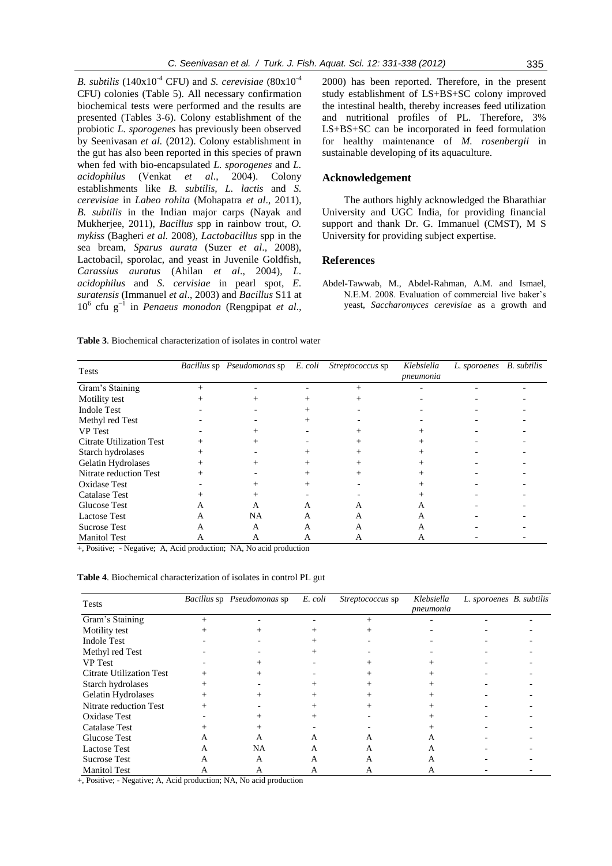*B. subtilis*  $(140x10^{-4}$  CFU) and *S. cerevisiae*  $(80x10^{-4}$ CFU) colonies (Table 5). All necessary confirmation biochemical tests were performed and the results are presented (Tables 3-6). Colony establishment of the probiotic *L. sporogenes* has previously been observed by Seenivasan *et al.* (2012). Colony establishment in the gut has also been reported in this species of prawn when fed with bio-encapsulated *L. sporogenes* and *L. acidophilus* (Venkat *et al*., 2004). Colony establishments like *B. subtilis, L. lactis* and *S. cerevisiae* in *Labeo rohita* (Mohapatra *et al*., 2011), *B. subtilis* in the Indian major carps (Nayak and Mukherjee, 2011), *Bacillus* spp in rainbow trout, *O. mykiss* (Bagheri *et al.* 2008), *Lactobacillus* spp in the sea bream, *Sparus aurata* (Suzer *et al*., 2008), Lactobacil, sporolac, and yeast in Juvenile Goldfish, *Carassius auratus* (Ahilan *et al*., 2004), *L. acidophilus* and *S. cervisiae* in pearl spot, *E. suratensis* (Immanuel *et al*., 2003) and *Bacillus* S11 at 10<sup>6</sup> cfu g−1 in *Penaeus monodon* (Rengpipat *et al*.,

2000) has been reported. Therefore, in the present study establishment of LS+BS+SC colony improved the intestinal health, thereby increases feed utilization and nutritional profiles of PL. Therefore, 3% LS+BS+SC can be incorporated in feed formulation for healthy maintenance of *M. rosenbergii* in sustainable developing of its aquaculture.

## **Acknowledgement**

The authors highly acknowledged the Bharathiar University and UGC India, for providing financial support and thank Dr. G. Immanuel (CMST), M S University for providing subject expertise.

# **References**

Abdel-Tawwab, M., Abdel-Rahman, A.M. and Ismael, N.E.M. 2008. Evaluation of commercial live baker's yeast, *Saccharomyces cerevisiae* as a growth and

**Table 3**. Biochemical characterization of isolates in control water

| <b>Tests</b>                    |        | Bacillus sp Pseudomonas sp | E. coli | Streptococcus sp | Klebsiella<br>pneumonia | L. sporoenes B. subtilis |  |
|---------------------------------|--------|----------------------------|---------|------------------|-------------------------|--------------------------|--|
| Gram's Staining                 |        |                            |         |                  |                         |                          |  |
| Motility test                   |        |                            |         |                  |                         |                          |  |
| Indole Test                     |        |                            |         |                  |                         |                          |  |
| Methyl red Test                 |        |                            | $^{+}$  |                  |                         |                          |  |
| <b>VP</b> Test                  |        |                            |         |                  |                         |                          |  |
| <b>Citrate Utilization Test</b> |        | $\! +$                     |         |                  |                         |                          |  |
| Starch hydrolases               |        |                            |         |                  |                         |                          |  |
| Gelatin Hydrolases              | $^{+}$ | $^{+}$                     |         |                  |                         |                          |  |
| Nitrate reduction Test          |        |                            |         |                  |                         |                          |  |
| Oxidase Test                    |        |                            |         |                  |                         |                          |  |
| <b>Catalase Test</b>            |        |                            |         |                  |                         |                          |  |
| Glucose Test                    | A      | A                          | A       | A                | A                       |                          |  |
| <b>Lactose Test</b>             | A      | NA                         | A       | A                | A                       |                          |  |
| <b>Sucrose Test</b>             | А      | A                          | A       | A                | A                       |                          |  |
| <b>Manitol Test</b>             | А      | A                          | A       | A                | A                       |                          |  |

+, Positive; - Negative; A, Acid production; NA, No acid production

| Table 4. Biochemical characterization of isolates in control PL gut |  |  |  |
|---------------------------------------------------------------------|--|--|--|
|---------------------------------------------------------------------|--|--|--|

| <b>Tests</b>                    |   | Bacillus sp Pseudomonas sp | E. coli | Streptococcus sp | Klebsiella<br>pneumonia | L. sporoenes B. subtilis |  |
|---------------------------------|---|----------------------------|---------|------------------|-------------------------|--------------------------|--|
| Gram's Staining                 |   |                            |         |                  |                         |                          |  |
| Motility test                   |   |                            | $\! +$  |                  |                         |                          |  |
| <b>Indole Test</b>              |   |                            |         |                  |                         |                          |  |
| Methyl red Test                 |   |                            |         |                  |                         |                          |  |
| <b>VP</b> Test                  |   |                            |         |                  |                         |                          |  |
| <b>Citrate Utilization Test</b> |   |                            |         |                  |                         |                          |  |
| Starch hydrolases               |   |                            |         |                  |                         |                          |  |
| Gelatin Hydrolases              |   |                            |         |                  |                         |                          |  |
| Nitrate reduction Test          |   |                            |         |                  |                         |                          |  |
| <b>Oxidase Test</b>             |   |                            |         |                  |                         |                          |  |
| <b>Catalase Test</b>            |   |                            |         |                  |                         |                          |  |
| Glucose Test                    |   | A                          | A       |                  | А                       |                          |  |
| <b>Lactose Test</b>             | A | <b>NA</b>                  | A       | А                | A                       |                          |  |
| <b>Sucrose Test</b>             | A | A                          | A       |                  |                         |                          |  |
| <b>Manitol Test</b>             | А | A                          | А       | A                | А                       |                          |  |

+, Positive; - Negative; A, Acid production; NA, No acid production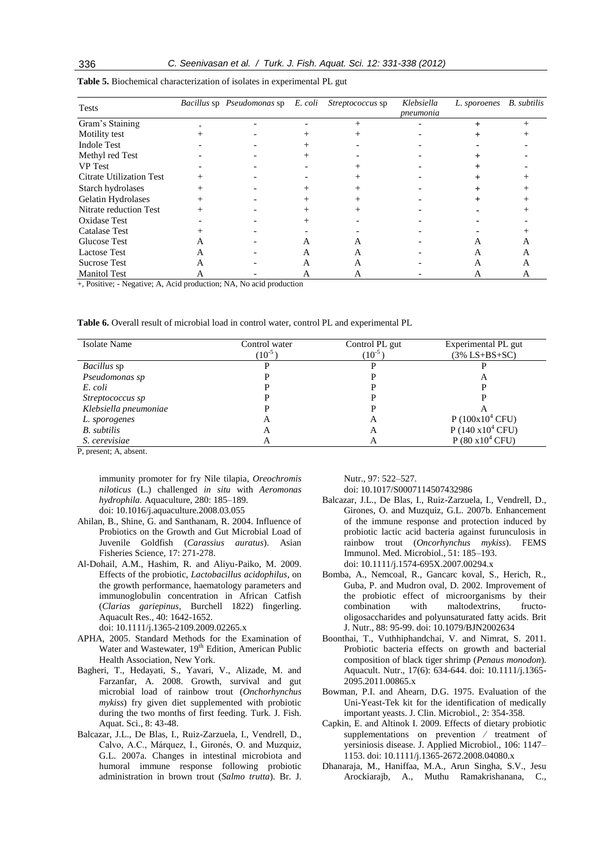| <b>Tests</b>                                                                                                                                                                     |   | Bacillus sp Pseudomonas sp | E. coli | Streptococcus sp | Klebsiella<br>pneumonia | L. sporoenes | <b>B.</b> subtilis |
|----------------------------------------------------------------------------------------------------------------------------------------------------------------------------------|---|----------------------------|---------|------------------|-------------------------|--------------|--------------------|
| Gram's Staining                                                                                                                                                                  |   |                            |         |                  |                         |              |                    |
| Motility test                                                                                                                                                                    |   |                            |         |                  |                         |              |                    |
| <b>Indole Test</b>                                                                                                                                                               |   |                            |         |                  |                         |              |                    |
| Methyl red Test                                                                                                                                                                  |   |                            |         |                  |                         |              |                    |
| <b>VP</b> Test                                                                                                                                                                   |   |                            |         |                  |                         |              |                    |
| <b>Citrate Utilization Test</b>                                                                                                                                                  |   |                            |         |                  |                         |              |                    |
| Starch hydrolases                                                                                                                                                                |   |                            |         |                  |                         |              |                    |
| Gelatin Hydrolases                                                                                                                                                               |   |                            |         |                  |                         |              |                    |
| Nitrate reduction Test                                                                                                                                                           |   |                            |         |                  |                         |              |                    |
| <b>Oxidase Test</b>                                                                                                                                                              |   |                            |         |                  |                         |              |                    |
| <b>Catalase Test</b>                                                                                                                                                             |   |                            |         |                  |                         |              |                    |
| <b>Glucose Test</b>                                                                                                                                                              |   |                            | A       |                  |                         |              |                    |
| <b>Lactose Test</b>                                                                                                                                                              |   |                            | А       |                  |                         |              |                    |
| Sucrose Test                                                                                                                                                                     | A |                            | A       | А                |                         | A            |                    |
| <b>Manitol Test</b><br>$\mathbf{r} = \mathbf{r}$ , and $\mathbf{r} = \mathbf{r}$ , and $\mathbf{r} = \mathbf{r}$ , and $\mathbf{r} = \mathbf{r}$ , and $\mathbf{r} = \mathbf{r}$ |   |                            | Α       | А                |                         | А            | А                  |

**Table 5.** Biochemical characterization of isolates in experimental PL gut

+, Positive; - Negative; A, Acid production; NA, No acid production

**Table 6.** Overall result of microbial load in control water, control PL and experimental PL

| Isolate Name          | Control water<br>$(10^{-5}$ | Control PL gut<br>$(10^{-5})$ | Experimental PL gut<br>$(3\%$ LS+BS+SC) |
|-----------------------|-----------------------------|-------------------------------|-----------------------------------------|
| <i>Bacillus</i> sp    |                             |                               |                                         |
| Pseudomonas sp        |                             |                               | A                                       |
| E. coli               |                             |                               |                                         |
| Streptococcus sp      |                             |                               |                                         |
| Klebsiella pneumoniae |                             |                               |                                         |
| L. sporogenes         | А                           | A                             | $P(100x10^4 CFU)$                       |
| <b>B.</b> subtilis    | A                           | A                             | $P(140 \times 10^4 \text{ CFU})$        |
| S. cerevisiae         | А                           |                               | $P(80 \times 10^4 \text{ CFU})$         |

P, present; A, absent.

immunity promoter for fry Nile tilapia, *Oreochromis niloticus* (L.) challenged *in situ* with *Aeromonas hydrophila.* Aquaculture, 280: 185–189. doi: 10.1016/j.aquaculture.2008.03.055

- Ahilan, B., Shine, G. and Santhanam, R. 2004. Influence of Probiotics on the Growth and Gut Microbial Load of Juvenile Goldfish (*Carassius auratus*). Asian Fisheries Science, 17: 271-278.
- Al-Dohail, A.M., Hashim, R. and Aliyu-Paiko, M. 2009. Effects of the probiotic, *Lactobacillus acidophilus*, on the growth performance, haematology parameters and immunoglobulin concentration in African Catfish (*Clarias gariepinus*, Burchell 1822) fingerling. Aquacult Res., 40: 1642-1652.

doi: 10.1111/j.1365-2109.2009.02265.x

- APHA, 2005. Standard Methods for the Examination of Water and Wastewater, 19<sup>th</sup> Edition, American Public Health Association, New York.
- Bagheri, T., Hedayati, S., Yavari, V., Alizade, M. and Farzanfar, A. 2008. Growth, survival and gut microbial load of rainbow trout (*Onchorhynchus mykiss*) fry given diet supplemented with probiotic during the two months of first feeding. Turk. J. Fish. Aquat. Sci., 8: 43-48.
- Balcazar, J.L., De Blas, I., Ruiz-Zarzuela, I., Vendrell, D., Calvo, A.C., Márquez, I., Gironés, O. and Muzquiz, G.L. 2007a. Changes in intestinal microbiota and humoral immune response following probiotic administration in brown trout (*Salmo trutta*). Br. J.

Nutr., 97: 522–527.

doi: 10.1017/S0007114507432986

- Balcazar, J.L., De Blas, I., Ruiz-Zarzuela, I., Vendrell, D., Girones, O. and Muzquiz, G.L. 2007b. Enhancement of the immune response and protection induced by probiotic lactic acid bacteria against furunculosis in rainbow trout (*Oncorhynchus mykiss*). FEMS Immunol. Med. Microbiol., 51: 185–193. doi: 10.1111/j.1574-695X.2007.00294.x
- Bomba, A., Nemcoal, R., Gancarc koval, S., Herich, R., Guba, P. and Mudron oval, D. 2002. Improvement of the probiotic effect of microorganisms by their combination with maltodextrins, fructooligosaccharides and polyunsaturated fatty acids. Brit J. Nutr., 88: 95-99. doi: 10.1079/BJN2002634
- Boonthai, T., Vuthhiphandchai, V. and Nimrat, S. 2011. Probiotic bacteria effects on growth and bacterial composition of black tiger shrimp (*Penaus monodon*). Aquacult. Nutr., 17(6): 634-644. doi: 10.1111/j.1365- 2095.2011.00865.x
- Bowman, P.I. and Ahearn, D.G. 1975. Evaluation of the Uni-Yeast-Tek kit for the identification of medically important yeasts. J. Clin. Microbiol., 2: 354-358.
- Capkin, E. and Altinok I. 2009. Effects of dietary probiotic supplementations on prevention ⁄ treatment of yersiniosis disease. J. Applied Microbiol., 106: 1147– 1153. doi: 10.1111/j.1365-2672.2008.04080.x
- Dhanaraja, M., Haniffaa, M.A., Arun Singha, S.V., Jesu Arockiarajb, A., Muthu Ramakrishanana, C.,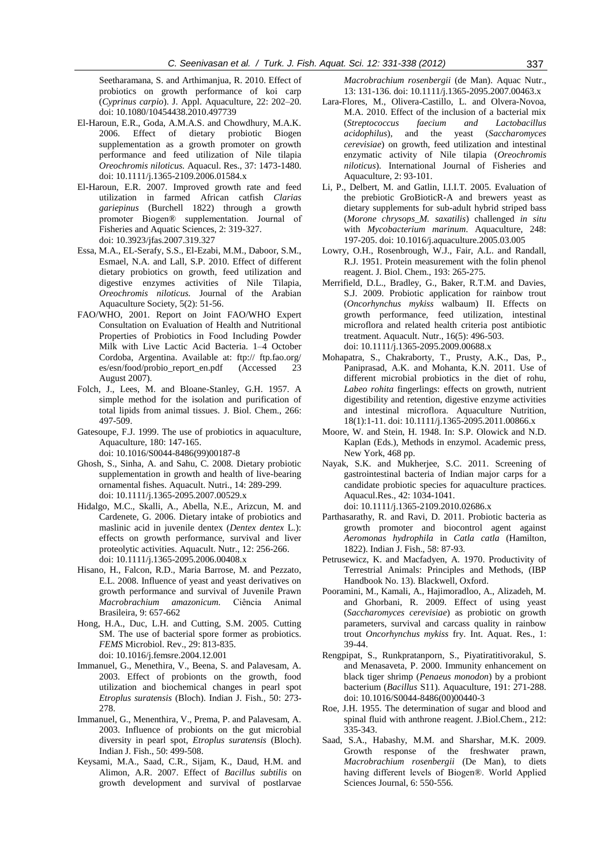Seetharamana, S. and Arthimanjua, R. 2010. Effect of probiotics on growth performance of koi carp (*Cyprinus carpio*). J. Appl. Aquaculture, 22: 202–20. doi: 10.1080/10454438.2010.497739

- El-Haroun, E.R., Goda, A.M.A.S. and Chowdhury, M.A.K. 2006. Effect of dietary probiotic Biogen supplementation as a growth promoter on growth performance and feed utilization of Nile tilapia *Oreochromis niloticus.* Aquacul. Res., 37: 1473-1480. doi: 10.1111/j.1365-2109.2006.01584.x
- El-Haroun, E.R. 2007. Improved growth rate and feed utilization in farmed African catfish *Clarias gariepinus* (Burchell 1822) through a growth promoter Biogen® supplementation. Journal of Fisheries and Aquatic Sciences, 2: 319-327. doi: 10.3923/jfas.2007.319.327
- Essa, M.A., EL-Serafy, S.S., El-Ezabi, M.M., Daboor, S.M., Esmael, N.A. and Lall, S.P. 2010. Effect of different dietary probiotics on growth, feed utilization and digestive enzymes activities of Nile Tilapia, *Oreochromis niloticus.* Journal of the Arabian Aquaculture Society, 5(2): 51-56.
- FAO/WHO, 2001. Report on Joint FAO/WHO Expert Consultation on Evaluation of Health and Nutritional Properties of Probiotics in Food Including Powder Milk with Live Lactic Acid Bacteria. 1–4 October Cordoba, Argentina. Available at: ftp:// ftp.fao.org/ es/esn/food/probio\_report\_en.pdf (Accessed 23 August 2007).
- Folch, J., Lees, M. and Bloane-Stanley, G.H. 1957. A simple method for the isolation and purification of total lipids from animal tissues. J. Biol. Chem., 266: 497-509.
- Gatesoupe, F.J. 1999. The use of probiotics in aquaculture, Aquaculture, 180: 147-165. doi: 10.1016/S0044-8486(99)00187-8
- Ghosh, S., Sinha, A. and Sahu, C. 2008. Dietary probiotic supplementation in growth and health of live-bearing ornamental fishes. Aquacult. Nutri., 14: 289-299. doi: 10.1111/j.1365-2095.2007.00529.x
- Hidalgo, M.C., Skalli, A., Abella, N.E., Arizcun, M. and Cardenete, G. 2006. Dietary intake of probiotics and maslinic acid in juvenile dentex (*Dentex dentex* L.): effects on growth performance, survival and liver proteolytic activities. Aquacult. Nutr., 12: 256-266. doi: 10.1111/j.1365-2095.2006.00408.x
- Hisano, H., Falcon, R.D., Maria Barrose, M. and Pezzato, E.L. 2008. Influence of yeast and yeast derivatives on growth performance and survival of Juvenile Prawn *Macrobrachium amazonicum.* Ciência Animal Brasileira, 9: 657-662
- Hong, H.A., Duc, L.H. and Cutting, S.M. 2005. Cutting SM. The use of bacterial spore former as probiotics. *FEMS* Microbiol. Rev., 29: 813-835. doi: 10.1016/j.femsre.2004.12.001
- Immanuel, G., Menethira, V., Beena, S. and Palavesam, A. 2003. Effect of probionts on the growth, food utilization and biochemical changes in pearl spot *Etroplus suratensis* (Bloch). Indian J. Fish., 50: 273- 278.
- Immanuel, G., Menenthira, V., Prema, P. and Palavesam, A. 2003. Influence of probionts on the gut microbial diversity in pearl spot, *Etroplus suratensis* (Bloch). Indian J. Fish., 50: 499-508.
- Keysami, M.A., Saad, C.R., Sijam, K., Daud, H.M. and Alimon, A.R. 2007. Effect of *Bacillus subtilis* on growth development and survival of postlarvae

*Macrobrachium rosenbergii* (de Man). Aquac Nutr., 13: 131-136. doi: 10.1111/j.1365-2095.2007.00463.x

- Lara-Flores, M., Olivera-Castillo, L. and Olvera-Novoa, M.A. 2010. Effect of the inclusion of a bacterial mix (*Streptococcus faecium and Lactobacillus acidophilus*), and the yeast (*Saccharomyces cerevisiae*) on growth, feed utilization and intestinal enzymatic activity of Nile tilapia (*Oreochromis niloticus*). International Journal of Fisheries and Aquaculture, 2: 93-101.
- Li, P., Delbert, M. and Gatlin, I.I.I.T. 2005. Evaluation of the prebiotic GroBioticR-A and brewers yeast as dietary supplements for sub-adult hybrid striped bass (*Morone chrysops\_M. saxatilis*) challenged *in situ* with *Mycobacterium marinum*. Aquaculture, 248: 197-205. doi: 10.1016/j.aquaculture.2005.03.005
- Lowry, O.H., Rosenbrough, W.J., Fair, A.L. and Randall, R.J. 1951. Protein measurement with the folin phenol reagent. J. Biol. Chem., 193: 265-275.
- Merrifield, D.L., Bradley, G., Baker, R.T.M. and Davies, S.J. 2009. Probiotic application for rainbow trout (*Oncorhynchus mykiss* walbaum) II. Effects on growth performance, feed utilization, intestinal microflora and related health criteria post antibiotic treatment. Aquacult. Nutr., 16(5): 496-503. doi: 10.1111/j.1365-2095.2009.00688.x
- Mohapatra, S., Chakraborty, T., Prusty, A.K., Das, P., Paniprasad, A.K. and Mohanta, K.N. 2011. Use of different microbial probiotics in the diet of rohu, *Labeo rohita* fingerlings: effects on growth, nutrient digestibility and retention, digestive enzyme activities and intestinal microflora. Aquaculture Nutrition, 18(1):1-11. doi: 10.1111/j.1365-2095.2011.00866.x
- Moore, W. and Stein, H. 1948. In: S.P. Olowick and N.D. Kaplan (Eds.), Methods in enzymol. Academic press, New York, 468 pp.
- Nayak, S.K. and Mukherjee, S.C. 2011. Screening of gastrointestinal bacteria of Indian major carps for a candidate probiotic species for aquaculture practices. Aquacul.Res., 42: 1034-1041. doi: 10.1111/j.1365-2109.2010.02686.x
- Parthasarathy, R. and Ravi, D. 2011. Probiotic bacteria as growth promoter and biocontrol agent against *Aeromonas hydrophila* in *Catla catla* (Hamilton, 1822). Indian J. Fish., 58: 87-93.
- Petrusewicz, K. and Macfadyen, A. 1970. Productivity of Terrestrial Animals: Principles and Methods, (IBP Handbook No. 13). Blackwell, Oxford.
- Pooramini, M., Kamali, A., Hajimoradloo, A., Alizadeh, M. and Ghorbani, R. 2009. Effect of using yeast (*Saccharomyces cerevisiae*) as probiotic on growth parameters, survival and carcass quality in rainbow trout *Oncorhynchus mykiss* fry. Int. Aquat. Res., 1: 39-44.
- Rengpipat, S., Runkpratanporn, S., Piyatiratitivorakul, S. and Menasaveta, P. 2000. Immunity enhancement on black tiger shrimp (*Penaeus monodon*) by a probiont bacterium (*Bacillus* S11). Aquaculture, 191: 271-288. doi: 10.1016/S0044-8486(00)00440-3
- Roe, J.H. 1955. The determination of sugar and blood and spinal fluid with anthrone reagent. J.Biol.Chem., 212: 335-343.
- Saad, S.A., Habashy, M.M. and Sharshar, M.K. 2009. Growth response of the freshwater prawn, *Macrobrachium rosenbergii* (De Man), to diets having different levels of Biogen®. World Applied Sciences Journal, 6: 550-556.